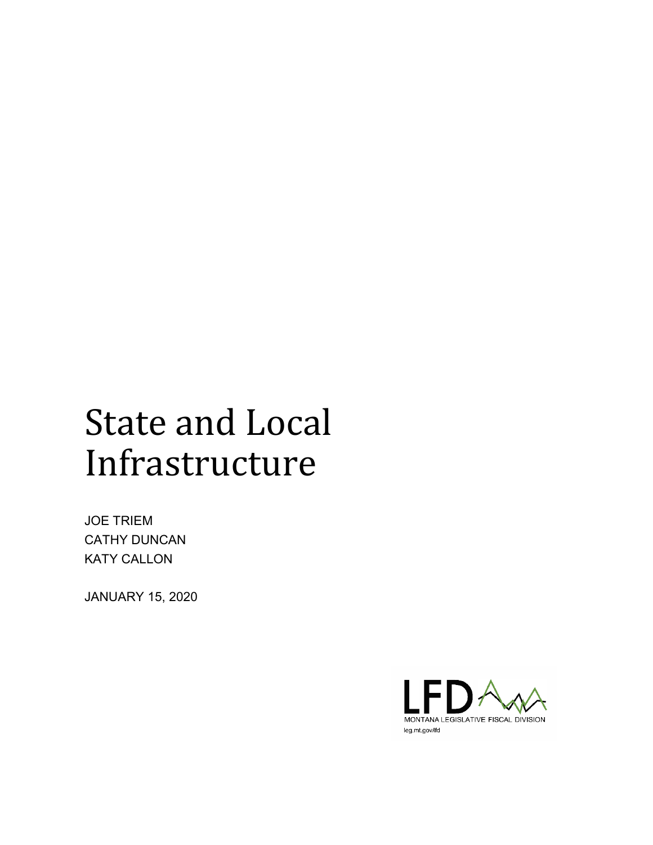# State and Local Infrastructure

JOE TRIEM CATHY DUNCAN KATY CALLON

JANUARY 15, 2020

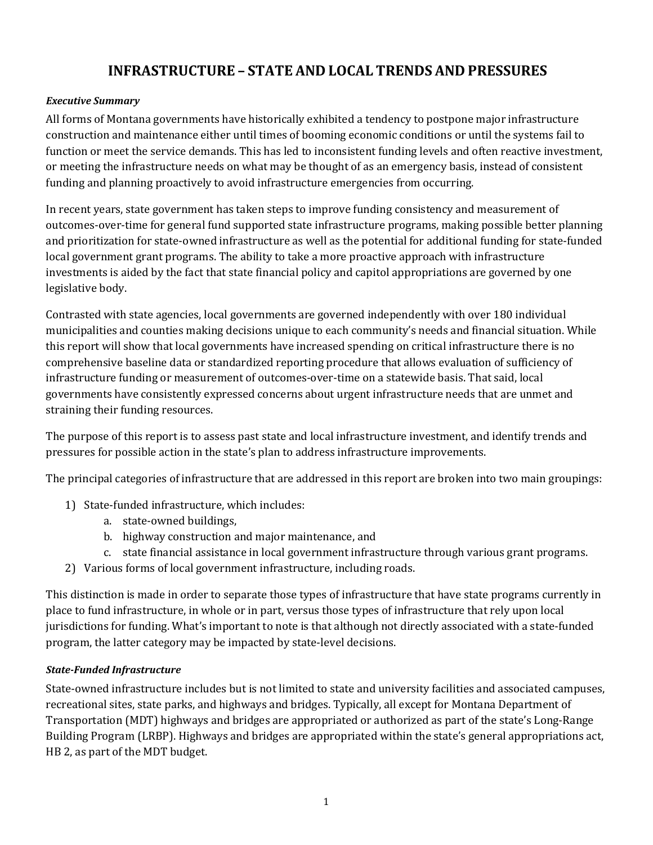# **INFRASTRUCTURE – STATE AND LOCAL TRENDS AND PRESSURES**

#### *Executive Summary*

All forms of Montana governments have historically exhibited a tendency to postpone major infrastructure construction and maintenance either until times of booming economic conditions or until the systems fail to function or meet the service demands. This has led to inconsistent funding levels and often reactive investment, or meeting the infrastructure needs on what may be thought of as an emergency basis, instead of consistent funding and planning proactively to avoid infrastructure emergencies from occurring.

In recent years, state government has taken steps to improve funding consistency and measurement of outcomes-over-time for general fund supported state infrastructure programs, making possible better planning and prioritization for state-owned infrastructure as well as the potential for additional funding for state-funded local government grant programs. The ability to take a more proactive approach with infrastructure investments is aided by the fact that state financial policy and capitol appropriations are governed by one legislative body.

Contrasted with state agencies, local governments are governed independently with over 180 individual municipalities and counties making decisions unique to each community's needs and financial situation. While this report will show that local governments have increased spending on critical infrastructure there is no comprehensive baseline data or standardized reporting procedure that allows evaluation of sufficiency of infrastructure funding or measurement of outcomes-over-time on a statewide basis. That said, local governments have consistently expressed concerns about urgent infrastructure needs that are unmet and straining their funding resources.

The purpose of this report is to assess past state and local infrastructure investment, and identify trends and pressures for possible action in the state's plan to address infrastructure improvements.

The principal categories of infrastructure that are addressed in this report are broken into two main groupings:

- 1) State-funded infrastructure, which includes:
	- a. state-owned buildings,
	- b. highway construction and major maintenance, and
	- c. state financial assistance in local government infrastructure through various grant programs.
- 2) Various forms of local government infrastructure, including roads.

This distinction is made in order to separate those types of infrastructure that have state programs currently in place to fund infrastructure, in whole or in part, versus those types of infrastructure that rely upon local jurisdictions for funding. What's important to note is that although not directly associated with a state-funded program, the latter category may be impacted by state-level decisions.

# *State-Funded Infrastructure*

State-owned infrastructure includes but is not limited to state and university facilities and associated campuses, recreational sites, state parks, and highways and bridges. Typically, all except for Montana Department of Transportation (MDT) highways and bridges are appropriated or authorized as part of the state's Long-Range Building Program (LRBP). Highways and bridges are appropriated within the state's general appropriations act, HB 2, as part of the MDT budget.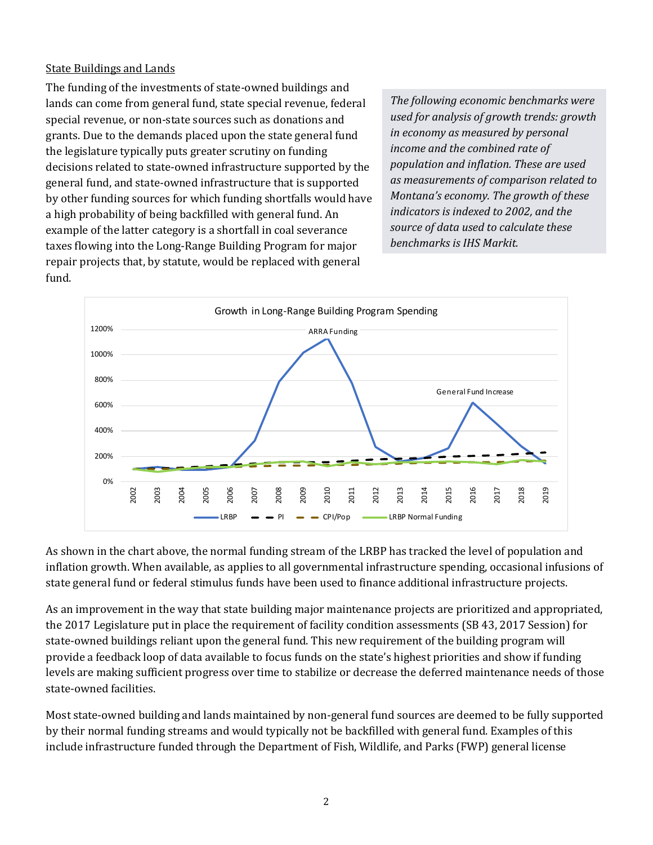#### State Buildings and Lands

The funding of the investments of state-owned buildings and lands can come from general fund, state special revenue, federal special revenue, or non-state sources such as donations and grants. Due to the demands placed upon the state general fund the legislature typically puts greater scrutiny on funding decisions related to state-owned infrastructure supported by the general fund, and state-owned infrastructure that is supported by other funding sources for which funding shortfalls would have a high probability of being backfilled with general fund. An example of the latter category is a shortfall in coal severance taxes flowing into the Long-Range Building Program for major repair projects that, by statute, would be replaced with general fund.

*The following economic benchmarks were used for analysis of growth trends: growth in economy as measured by personal income and the combined rate of population and inflation. These are used as measurements of comparison related to Montana's economy. The growth of these indicators is indexed to 2002, and the source of data used to calculate these benchmarks is IHS Markit.*



As shown in the chart above, the normal funding stream of the LRBP has tracked the level of population and inflation growth. When available, as applies to all governmental infrastructure spending, occasional infusions of state general fund or federal stimulus funds have been used to finance additional infrastructure projects.

As an improvement in the way that state building major maintenance projects are prioritized and appropriated, the 2017 Legislature put in place the requirement of facility condition assessments (SB 43, 2017 Session) for state-owned buildings reliant upon the general fund. This new requirement of the building program will provide a feedback loop of data available to focus funds on the state's highest priorities and show if funding levels are making sufficient progress over time to stabilize or decrease the deferred maintenance needs of those state-owned facilities.

Most state-owned building and lands maintained by non-general fund sources are deemed to be fully supported by their normal funding streams and would typically not be backfilled with general fund. Examples of this include infrastructure funded through the Department of Fish, Wildlife, and Parks (FWP) general license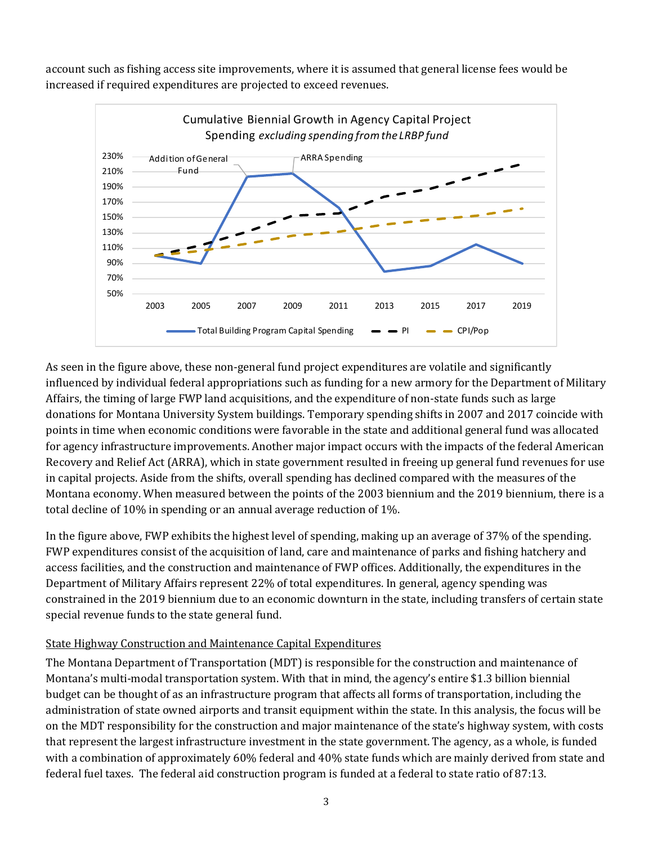account such as fishing access site improvements, where it is assumed that general license fees would be increased if required expenditures are projected to exceed revenues.



As seen in the figure above, these non-general fund project expenditures are volatile and significantly influenced by individual federal appropriations such as funding for a new armory for the Department of Military Affairs, the timing of large FWP land acquisitions, and the expenditure of non-state funds such as large donations for Montana University System buildings. Temporary spending shifts in 2007 and 2017 coincide with points in time when economic conditions were favorable in the state and additional general fund was allocated for agency infrastructure improvements. Another major impact occurs with the impacts of the federal American Recovery and Relief Act (ARRA), which in state government resulted in freeing up general fund revenues for use in capital projects. Aside from the shifts, overall spending has declined compared with the measures of the Montana economy. When measured between the points of the 2003 biennium and the 2019 biennium, there is a total decline of 10% in spending or an annual average reduction of 1%.

In the figure above, FWP exhibits the highest level of spending, making up an average of 37% of the spending. FWP expenditures consist of the acquisition of land, care and maintenance of parks and fishing hatchery and access facilities, and the construction and maintenance of FWP offices. Additionally, the expenditures in the Department of Military Affairs represent 22% of total expenditures. In general, agency spending was constrained in the 2019 biennium due to an economic downturn in the state, including transfers of certain state special revenue funds to the state general fund.

# State Highway Construction and Maintenance Capital Expenditures

The Montana Department of Transportation (MDT) is responsible for the construction and maintenance of Montana's multi-modal transportation system. With that in mind, the agency's entire \$1.3 billion biennial budget can be thought of as an infrastructure program that affects all forms of transportation, including the administration of state owned airports and transit equipment within the state. In this analysis, the focus will be on the MDT responsibility for the construction and major maintenance of the state's highway system, with costs that represent the largest infrastructure investment in the state government. The agency, as a whole, is funded with a combination of approximately 60% federal and 40% state funds which are mainly derived from state and federal fuel taxes. The federal aid construction program is funded at a federal to state ratio of 87:13.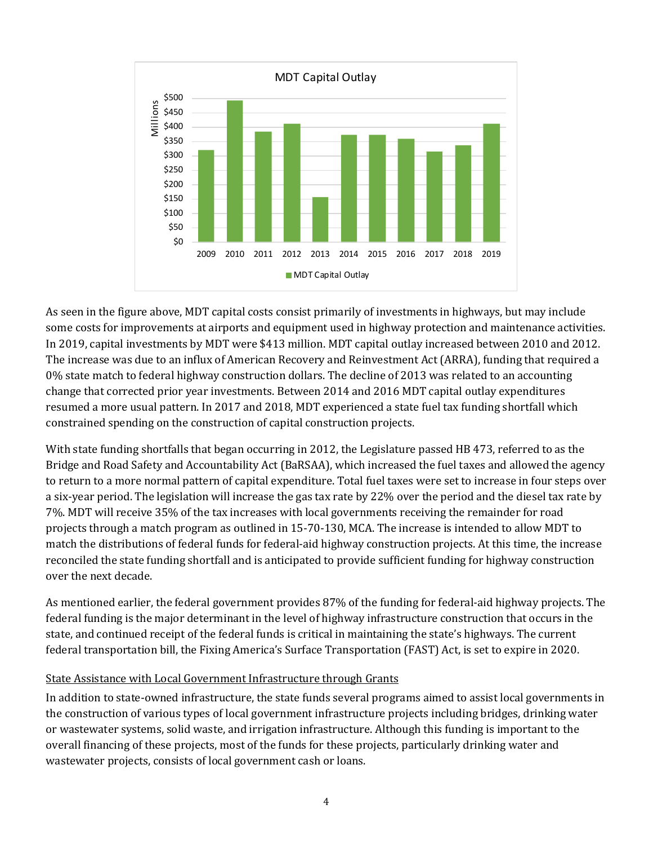

As seen in the figure above, MDT capital costs consist primarily of investments in highways, but may include some costs for improvements at airports and equipment used in highway protection and maintenance activities. In 2019, capital investments by MDT were \$413 million. MDT capital outlay increased between 2010 and 2012. The increase was due to an influx of American Recovery and Reinvestment Act (ARRA), funding that required a 0% state match to federal highway construction dollars. The decline of 2013 was related to an accounting change that corrected prior year investments. Between 2014 and 2016 MDT capital outlay expenditures resumed a more usual pattern. In 2017 and 2018, MDT experienced a state fuel tax funding shortfall which constrained spending on the construction of capital construction projects.

With state funding shortfalls that began occurring in 2012, the Legislature passed HB 473, referred to as the Bridge and Road Safety and Accountability Act (BaRSAA), which increased the fuel taxes and allowed the agency to return to a more normal pattern of capital expenditure. Total fuel taxes were set to increase in four steps over a six-year period. The legislation will increase the gas tax rate by 22% over the period and the diesel tax rate by 7%. MDT will receive 35% of the tax increases with local governments receiving the remainder for road projects through a match program as outlined in 15-70-130, MCA. The increase is intended to allow MDT to match the distributions of federal funds for federal-aid highway construction projects. At this time, the increase reconciled the state funding shortfall and is anticipated to provide sufficient funding for highway construction over the next decade.

As mentioned earlier, the federal government provides 87% of the funding for federal-aid highway projects. The federal funding is the major determinant in the level of highway infrastructure construction that occurs in the state, and continued receipt of the federal funds is critical in maintaining the state's highways. The current federal transportation bill, the Fixing America's Surface Transportation (FAST) Act, is set to expire in 2020.

#### State Assistance with Local Government Infrastructure through Grants

In addition to state-owned infrastructure, the state funds several programs aimed to assist local governments in the construction of various types of local government infrastructure projects including bridges, drinking water or wastewater systems, solid waste, and irrigation infrastructure. Although this funding is important to the overall financing of these projects, most of the funds for these projects, particularly drinking water and wastewater projects, consists of local government cash or loans.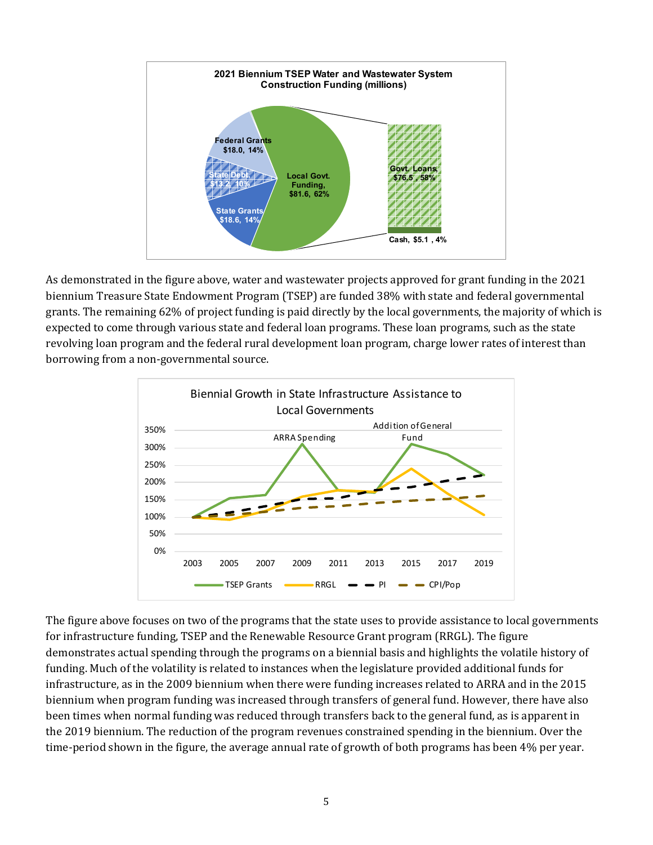

As demonstrated in the figure above, water and wastewater projects approved for grant funding in the 2021 biennium Treasure State Endowment Program (TSEP) are funded 38% with state and federal governmental grants. The remaining 62% of project funding is paid directly by the local governments, the majority of which is expected to come through various state and federal loan programs. These loan programs, such as the state revolving loan program and the federal rural development loan program, charge lower rates of interest than borrowing from a non-governmental source.



The figure above focuses on two of the programs that the state uses to provide assistance to local governments for infrastructure funding, TSEP and the Renewable Resource Grant program (RRGL). The figure demonstrates actual spending through the programs on a biennial basis and highlights the volatile history of funding. Much of the volatility is related to instances when the legislature provided additional funds for infrastructure, as in the 2009 biennium when there were funding increases related to ARRA and in the 2015 biennium when program funding was increased through transfers of general fund. However, there have also been times when normal funding was reduced through transfers back to the general fund, as is apparent in the 2019 biennium. The reduction of the program revenues constrained spending in the biennium. Over the time-period shown in the figure, the average annual rate of growth of both programs has been 4% per year.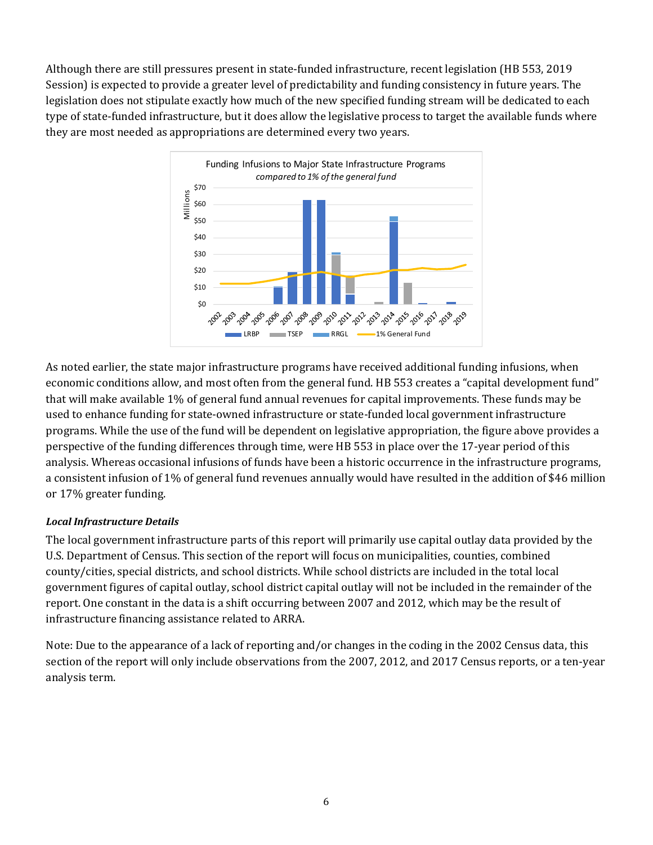Although there are still pressures present in state-funded infrastructure, recent legislation (HB 553, 2019 Session) is expected to provide a greater level of predictability and funding consistency in future years. The legislation does not stipulate exactly how much of the new specified funding stream will be dedicated to each type of state-funded infrastructure, but it does allow the legislative process to target the available funds where they are most needed as appropriations are determined every two years.



As noted earlier, the state major infrastructure programs have received additional funding infusions, when economic conditions allow, and most often from the general fund. HB 553 creates a "capital development fund" that will make available 1% of general fund annual revenues for capital improvements. These funds may be used to enhance funding for state-owned infrastructure or state-funded local government infrastructure programs. While the use of the fund will be dependent on legislative appropriation, the figure above provides a perspective of the funding differences through time, were HB 553 in place over the 17-year period of this analysis. Whereas occasional infusions of funds have been a historic occurrence in the infrastructure programs, a consistent infusion of 1% of general fund revenues annually would have resulted in the addition of \$46 million or 17% greater funding.

# *Local Infrastructure Details*

The local government infrastructure parts of this report will primarily use capital outlay data provided by the U.S. Department of Census. This section of the report will focus on municipalities, counties, combined county/cities, special districts, and school districts. While school districts are included in the total local government figures of capital outlay, school district capital outlay will not be included in the remainder of the report. One constant in the data is a shift occurring between 2007 and 2012, which may be the result of infrastructure financing assistance related to ARRA.

Note: Due to the appearance of a lack of reporting and/or changes in the coding in the 2002 Census data, this section of the report will only include observations from the 2007, 2012, and 2017 Census reports, or a ten-year analysis term.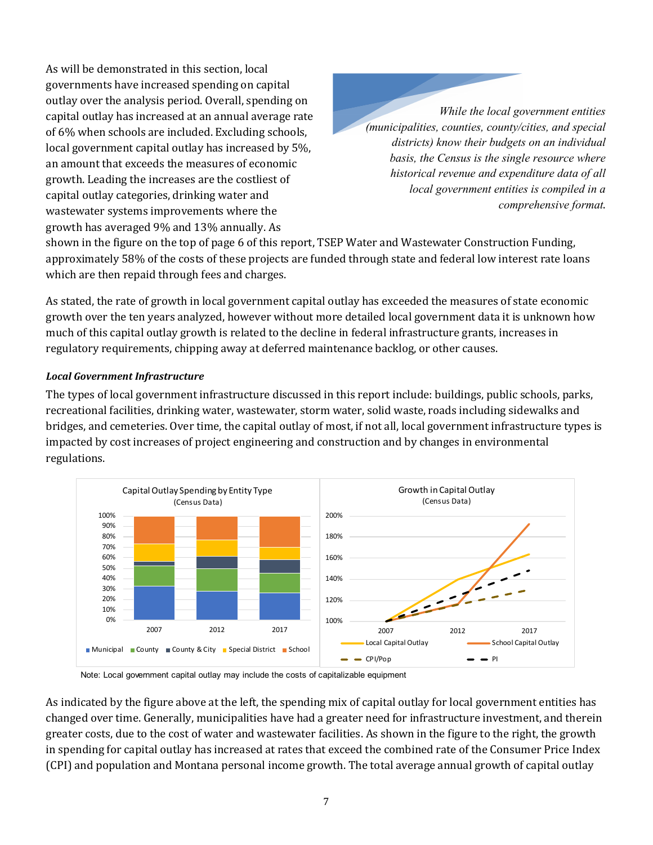As will be demonstrated in this section, local governments have increased spending on capital outlay over the analysis period. Overall, spending on capital outlay has increased at an annual average rate of 6% when schools are included. Excluding schools, local government capital outlay has increased by 5%, an amount that exceeds the measures of economic growth. Leading the increases are the costliest of capital outlay categories, drinking water and wastewater systems improvements where the growth has averaged 9% and 13% annually. As

*While the local government entities (municipalities, counties, county/cities, and special districts) know their budgets on an individual basis, the Census is the single resource where historical revenue and expenditure data of all local government entities is compiled in a comprehensive format*.

shown in the figure on the top of page 6 of this report, TSEP Water and Wastewater Construction Funding, approximately 58% of the costs of these projects are funded through state and federal low interest rate loans which are then repaid through fees and charges.

As stated, the rate of growth in local government capital outlay has exceeded the measures of state economic growth over the ten years analyzed, however without more detailed local government data it is unknown how much of this capital outlay growth is related to the decline in federal infrastructure grants, increases in regulatory requirements, chipping away at deferred maintenance backlog, or other causes.

#### *Local Government Infrastructure*

The types of local government infrastructure discussed in this report include: buildings, public schools, parks, recreational facilities, drinking water, wastewater, storm water, solid waste, roads including sidewalks and bridges, and cemeteries. Over time, the capital outlay of most, if not all, local government infrastructure types is impacted by cost increases of project engineering and construction and by changes in environmental regulations.



Note: Local government capital outlay may include the costs of capitalizable equipment

As indicated by the figure above at the left, the spending mix of capital outlay for local government entities has changed over time. Generally, municipalities have had a greater need for infrastructure investment, and therein greater costs, due to the cost of water and wastewater facilities. As shown in the figure to the right, the growth in spending for capital outlay has increased at rates that exceed the combined rate of the Consumer Price Index (CPI) and population and Montana personal income growth. The total average annual growth of capital outlay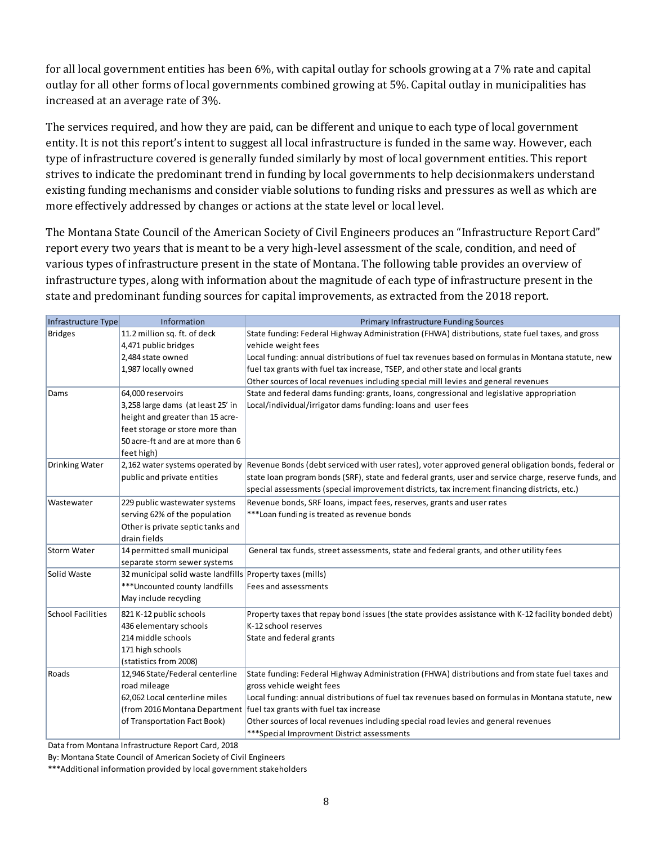for all local government entities has been 6%, with capital outlay for schools growing at a 7% rate and capital outlay for all other forms of local governments combined growing at 5%. Capital outlay in municipalities has increased at an average rate of 3%.

The services required, and how they are paid, can be different and unique to each type of local government entity. It is not this report's intent to suggest all local infrastructure is funded in the same way. However, each type of infrastructure covered is generally funded similarly by most of local government entities. This report strives to indicate the predominant trend in funding by local governments to help decisionmakers understand existing funding mechanisms and consider viable solutions to funding risks and pressures as well as which are more effectively addressed by changes or actions at the state level or local level.

The Montana State Council of the American Society of Civil Engineers produces an "Infrastructure Report Card" report every two years that is meant to be a very high-level assessment of the scale, condition, and need of various types of infrastructure present in the state of Montana. The following table provides an overview of infrastructure types, along with information about the magnitude of each type of infrastructure present in the state and predominant funding sources for capital improvements, as extracted from the 2018 report.

| Infrastructure Type   | Information                                               | <b>Primary Infrastructure Funding Sources</b>                                                                                      |
|-----------------------|-----------------------------------------------------------|------------------------------------------------------------------------------------------------------------------------------------|
| <b>Bridges</b>        | 11.2 million sq. ft. of deck                              | State funding: Federal Highway Administration (FHWA) distributions, state fuel taxes, and gross                                    |
|                       | 4,471 public bridges                                      | vehicle weight fees                                                                                                                |
|                       | 2,484 state owned                                         | Local funding: annual distributions of fuel tax revenues based on formulas in Montana statute, new                                 |
|                       | 1,987 locally owned                                       | fuel tax grants with fuel tax increase, TSEP, and other state and local grants                                                     |
|                       |                                                           | Other sources of local revenues including special mill levies and general revenues                                                 |
| Dams                  | 64,000 reservoirs                                         | State and federal dams funding: grants, loans, congressional and legislative appropriation                                         |
|                       | 3,258 large dams (at least 25' in                         | Local/individual/irrigator dams funding: loans and user fees                                                                       |
|                       | height and greater than 15 acre-                          |                                                                                                                                    |
|                       | feet storage or store more than                           |                                                                                                                                    |
|                       | 50 acre-ft and are at more than 6                         |                                                                                                                                    |
|                       | feet high)                                                |                                                                                                                                    |
| <b>Drinking Water</b> |                                                           | 2,162 water systems operated by Revenue Bonds (debt serviced with user rates), voter approved general obligation bonds, federal or |
|                       | public and private entities                               | state loan program bonds (SRF), state and federal grants, user and service charge, reserve funds, and                              |
|                       |                                                           | special assessments (special improvement districts, tax increment financing districts, etc.)                                       |
| Wastewater            | 229 public wastewater systems                             | Revenue bonds, SRF loans, impact fees, reserves, grants and user rates                                                             |
|                       | serving 62% of the population                             | ***Loan funding is treated as revenue bonds                                                                                        |
|                       | Other is private septic tanks and                         |                                                                                                                                    |
|                       | drain fields                                              |                                                                                                                                    |
| Storm Water           | 14 permitted small municipal                              | General tax funds, street assessments, state and federal grants, and other utility fees                                            |
|                       | separate storm sewer systems                              |                                                                                                                                    |
| Solid Waste           | 32 municipal solid waste landfills Property taxes (mills) |                                                                                                                                    |
|                       | *** Uncounted county landfills                            | Fees and assessments                                                                                                               |
|                       | May include recycling                                     |                                                                                                                                    |
| School Facilities     | 821 K-12 public schools                                   | Property taxes that repay bond issues (the state provides assistance with K-12 facility bonded debt)                               |
|                       | 436 elementary schools                                    | K-12 school reserves                                                                                                               |
|                       | 214 middle schools                                        | State and federal grants                                                                                                           |
|                       | 171 high schools                                          |                                                                                                                                    |
|                       | (statistics from 2008)                                    |                                                                                                                                    |
| Roads                 | 12,946 State/Federal centerline                           | State funding: Federal Highway Administration (FHWA) distributions and from state fuel taxes and                                   |
|                       | road mileage                                              | gross vehicle weight fees                                                                                                          |
|                       | 62,062 Local centerline miles                             | Local funding: annual distributions of fuel tax revenues based on formulas in Montana statute, new                                 |
|                       |                                                           | (from 2016 Montana Department   fuel tax grants with fuel tax increase                                                             |
|                       | of Transportation Fact Book)                              | Other sources of local revenues including special road levies and general revenues                                                 |
|                       |                                                           | *** Special Improvment District assessments                                                                                        |

Data from Montana Infrastructure Report Card, 2018

By: Montana State Council of American Society of Civil Engineers

\*\*\*Additional information provided by local government stakeholders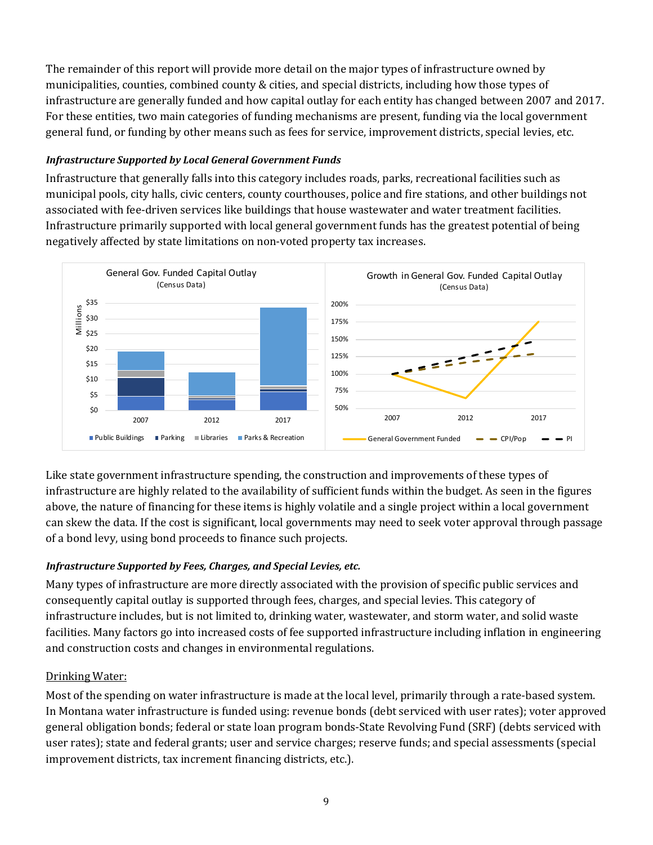The remainder of this report will provide more detail on the major types of infrastructure owned by municipalities, counties, combined county & cities, and special districts, including how those types of infrastructure are generally funded and how capital outlay for each entity has changed between 2007 and 2017. For these entities, two main categories of funding mechanisms are present, funding via the local government general fund, or funding by other means such as fees for service, improvement districts, special levies, etc.

#### *Infrastructure Supported by Local General Government Funds*

Infrastructure that generally falls into this category includes roads, parks, recreational facilities such as municipal pools, city halls, civic centers, county courthouses, police and fire stations, and other buildings not associated with fee-driven services like buildings that house wastewater and water treatment facilities. Infrastructure primarily supported with local general government funds has the greatest potential of being negatively affected by state limitations on non-voted property tax increases.



Like state government infrastructure spending, the construction and improvements of these types of infrastructure are highly related to the availability of sufficient funds within the budget. As seen in the figures above, the nature of financing for these items is highly volatile and a single project within a local government can skew the data. If the cost is significant, local governments may need to seek voter approval through passage of a bond levy, using bond proceeds to finance such projects.

# *Infrastructure Supported by Fees, Charges, and Special Levies, etc.*

Many types of infrastructure are more directly associated with the provision of specific public services and consequently capital outlay is supported through fees, charges, and special levies. This category of infrastructure includes, but is not limited to, drinking water, wastewater, and storm water, and solid waste facilities. Many factors go into increased costs of fee supported infrastructure including inflation in engineering and construction costs and changes in environmental regulations.

# Drinking Water:

Most of the spending on water infrastructure is made at the local level, primarily through a rate-based system. In Montana water infrastructure is funded using: revenue bonds (debt serviced with user rates); voter approved general obligation bonds; federal or state loan program bonds-State Revolving Fund (SRF) (debts serviced with user rates); state and federal grants; user and service charges; reserve funds; and special assessments (special improvement districts, tax increment financing districts, etc.).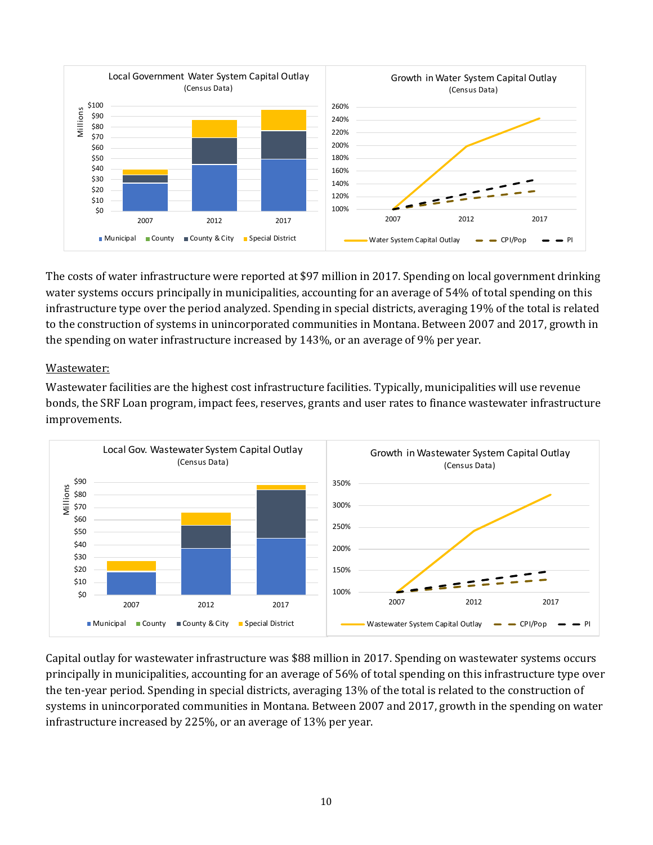

The costs of water infrastructure were reported at \$97 million in 2017. Spending on local government drinking water systems occurs principally in municipalities, accounting for an average of 54% of total spending on this infrastructure type over the period analyzed. Spending in special districts, averaging 19% of the total is related to the construction of systems in unincorporated communities in Montana. Between 2007 and 2017, growth in the spending on water infrastructure increased by 143%, or an average of 9% per year.

#### Wastewater:

Wastewater facilities are the highest cost infrastructure facilities. Typically, municipalities will use revenue bonds, the SRF Loan program, impact fees, reserves, grants and user rates to finance wastewater infrastructure improvements.



Capital outlay for wastewater infrastructure was \$88 million in 2017. Spending on wastewater systems occurs principally in municipalities, accounting for an average of 56% of total spending on this infrastructure type over the ten-year period. Spending in special districts, averaging 13% of the total is related to the construction of systems in unincorporated communities in Montana. Between 2007 and 2017, growth in the spending on water infrastructure increased by 225%, or an average of 13% per year.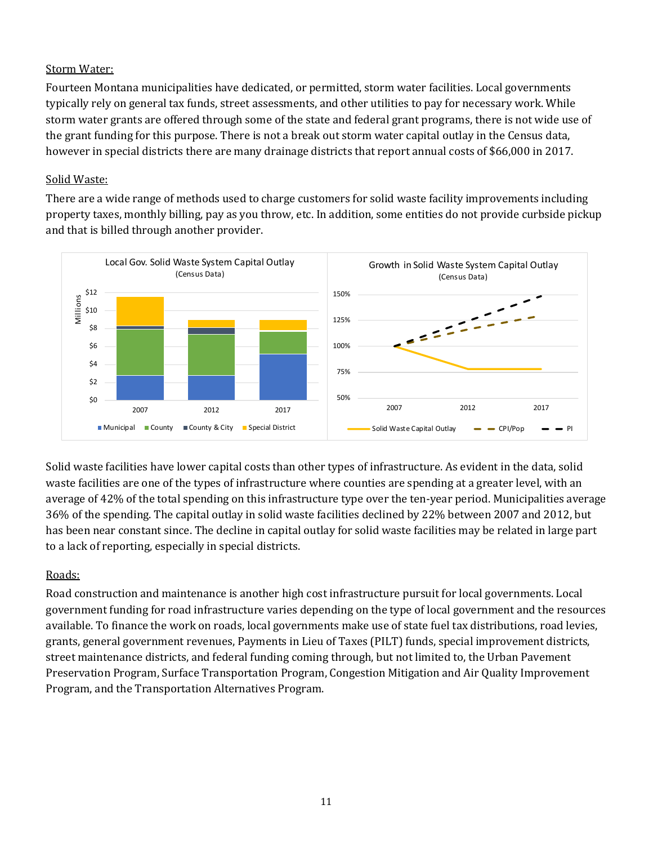# Storm Water:

Fourteen Montana municipalities have dedicated, or permitted, storm water facilities. Local governments typically rely on general tax funds, street assessments, and other utilities to pay for necessary work. While storm water grants are offered through some of the state and federal grant programs, there is not wide use of the grant funding for this purpose. There is not a break out storm water capital outlay in the Census data, however in special districts there are many drainage districts that report annual costs of \$66,000 in 2017.

#### Solid Waste:

There are a wide range of methods used to charge customers for solid waste facility improvements including property taxes, monthly billing, pay as you throw, etc. In addition, some entities do not provide curbside pickup and that is billed through another provider.



Solid waste facilities have lower capital costs than other types of infrastructure. As evident in the data, solid waste facilities are one of the types of infrastructure where counties are spending at a greater level, with an average of 42% of the total spending on this infrastructure type over the ten-year period. Municipalities average 36% of the spending. The capital outlay in solid waste facilities declined by 22% between 2007 and 2012, but has been near constant since. The decline in capital outlay for solid waste facilities may be related in large part to a lack of reporting, especially in special districts.

# Roads:

Road construction and maintenance is another high cost infrastructure pursuit for local governments. Local government funding for road infrastructure varies depending on the type of local government and the resources available. To finance the work on roads, local governments make use of state fuel tax distributions, road levies, grants, general government revenues, Payments in Lieu of Taxes (PILT) funds, special improvement districts, street maintenance districts, and federal funding coming through, but not limited to, the Urban Pavement Preservation Program, Surface Transportation Program, Congestion Mitigation and Air Quality Improvement Program, and the Transportation Alternatives Program.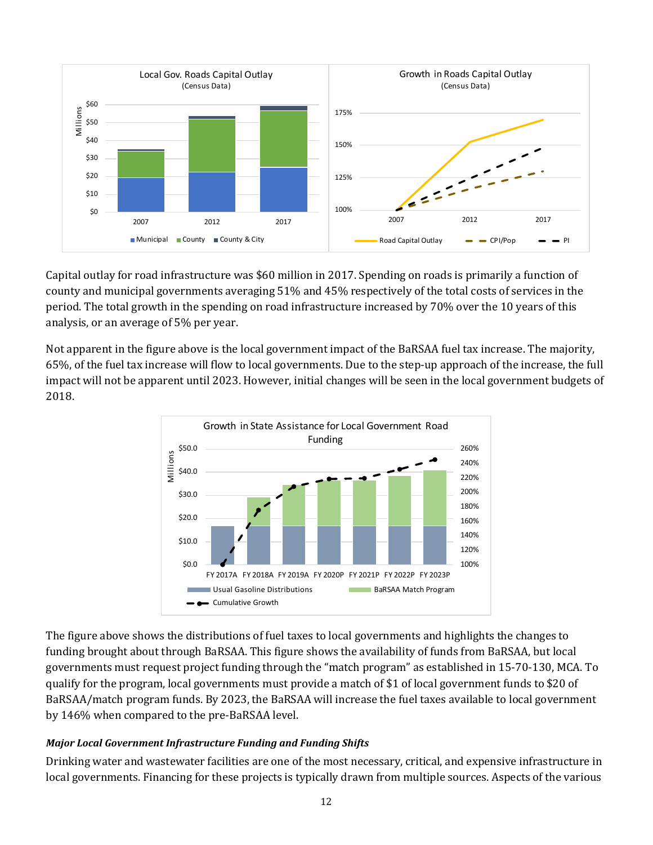

Capital outlay for road infrastructure was \$60 million in 2017. Spending on roads is primarily a function of county and municipal governments averaging 51% and 45% respectively of the total costs of services in the period. The total growth in the spending on road infrastructure increased by 70% over the 10 years of this analysis, or an average of 5% per year.

Not apparent in the figure above is the local government impact of the BaRSAA fuel tax increase. The majority, 65%, of the fuel tax increase will flow to local governments. Due to the step-up approach of the increase, the full impact will not be apparent until 2023. However, initial changes will be seen in the local government budgets of 2018.



The figure above shows the distributions of fuel taxes to local governments and highlights the changes to funding brought about through BaRSAA. This figure shows the availability of funds from BaRSAA, but local governments must request project funding through the "match program" as established in 15-70-130, MCA. To qualify for the program, local governments must provide a match of \$1 of local government funds to \$20 of BaRSAA/match program funds. By 2023, the BaRSAA will increase the fuel taxes available to local government by 146% when compared to the pre-BaRSAA level.

#### *Major Local Government Infrastructure Funding and Funding Shifts*

Drinking water and wastewater facilities are one of the most necessary, critical, and expensive infrastructure in local governments. Financing for these projects is typically drawn from multiple sources. Aspects of the various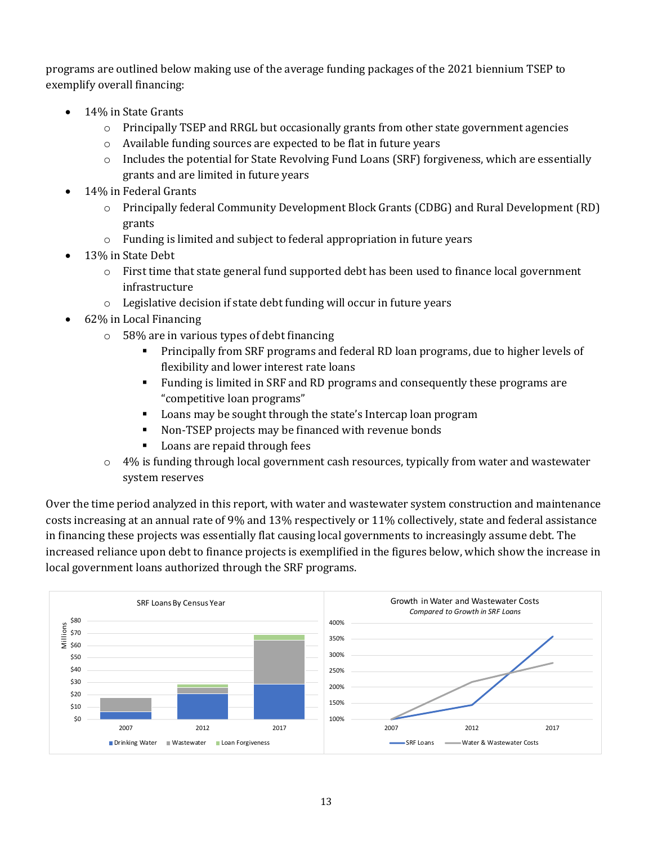programs are outlined below making use of the average funding packages of the 2021 biennium TSEP to exemplify overall financing:

- 14% in State Grants
	- o Principally TSEP and RRGL but occasionally grants from other state government agencies
	- o Available funding sources are expected to be flat in future years
	- $\circ$  Includes the potential for State Revolving Fund Loans (SRF) forgiveness, which are essentially grants and are limited in future years
- 14% in Federal Grants
	- o Principally federal Community Development Block Grants (CDBG) and Rural Development (RD) grants
	- o Funding is limited and subject to federal appropriation in future years
- 13% in State Debt
	- $\circ$  First time that state general fund supported debt has been used to finance local government infrastructure
	- o Legislative decision if state debt funding will occur in future years
- 62% in Local Financing
	- o 58% are in various types of debt financing
		- Principally from SRF programs and federal RD loan programs, due to higher levels of flexibility and lower interest rate loans
		- Funding is limited in SRF and RD programs and consequently these programs are "competitive loan programs"
		- Loans may be sought through the state's Intercap loan program
		- Non-TSEP projects may be financed with revenue bonds
		- **Loans are repaid through fees**
	- o 4% is funding through local government cash resources, typically from water and wastewater system reserves

Over the time period analyzed in this report, with water and wastewater system construction and maintenance costs increasing at an annual rate of 9% and 13% respectively or 11% collectively, state and federal assistance in financing these projects was essentially flat causing local governments to increasingly assume debt. The increased reliance upon debt to finance projects is exemplified in the figures below, which show the increase in local government loans authorized through the SRF programs.

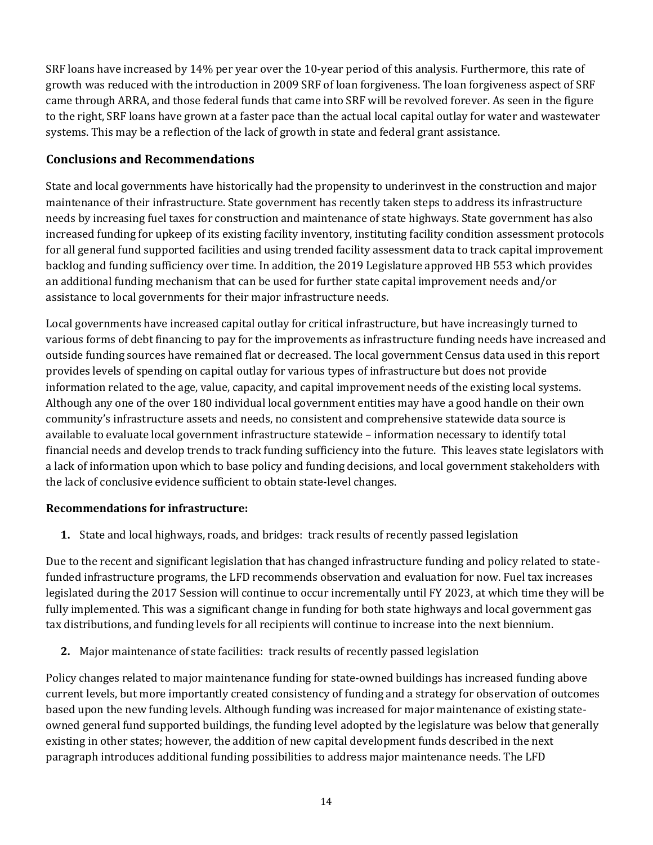SRF loans have increased by 14% per year over the 10-year period of this analysis. Furthermore, this rate of growth was reduced with the introduction in 2009 SRF of loan forgiveness. The loan forgiveness aspect of SRF came through ARRA, and those federal funds that came into SRF will be revolved forever. As seen in the figure to the right, SRF loans have grown at a faster pace than the actual local capital outlay for water and wastewater systems. This may be a reflection of the lack of growth in state and federal grant assistance.

# **Conclusions and Recommendations**

State and local governments have historically had the propensity to underinvest in the construction and major maintenance of their infrastructure. State government has recently taken steps to address its infrastructure needs by increasing fuel taxes for construction and maintenance of state highways. State government has also increased funding for upkeep of its existing facility inventory, instituting facility condition assessment protocols for all general fund supported facilities and using trended facility assessment data to track capital improvement backlog and funding sufficiency over time. In addition, the 2019 Legislature approved HB 553 which provides an additional funding mechanism that can be used for further state capital improvement needs and/or assistance to local governments for their major infrastructure needs.

Local governments have increased capital outlay for critical infrastructure, but have increasingly turned to various forms of debt financing to pay for the improvements as infrastructure funding needs have increased and outside funding sources have remained flat or decreased. The local government Census data used in this report provides levels of spending on capital outlay for various types of infrastructure but does not provide information related to the age, value, capacity, and capital improvement needs of the existing local systems. Although any one of the over 180 individual local government entities may have a good handle on their own community's infrastructure assets and needs, no consistent and comprehensive statewide data source is available to evaluate local government infrastructure statewide – information necessary to identify total financial needs and develop trends to track funding sufficiency into the future. This leaves state legislators with a lack of information upon which to base policy and funding decisions, and local government stakeholders with the lack of conclusive evidence sufficient to obtain state-level changes.

# **Recommendations for infrastructure:**

**1.** State and local highways, roads, and bridges: track results of recently passed legislation

Due to the recent and significant legislation that has changed infrastructure funding and policy related to statefunded infrastructure programs, the LFD recommends observation and evaluation for now. Fuel tax increases legislated during the 2017 Session will continue to occur incrementally until FY 2023, at which time they will be fully implemented. This was a significant change in funding for both state highways and local government gas tax distributions, and funding levels for all recipients will continue to increase into the next biennium.

**2.** Major maintenance of state facilities: track results of recently passed legislation

Policy changes related to major maintenance funding for state-owned buildings has increased funding above current levels, but more importantly created consistency of funding and a strategy for observation of outcomes based upon the new funding levels. Although funding was increased for major maintenance of existing stateowned general fund supported buildings, the funding level adopted by the legislature was below that generally existing in other states; however, the addition of new capital development funds described in the next paragraph introduces additional funding possibilities to address major maintenance needs. The LFD